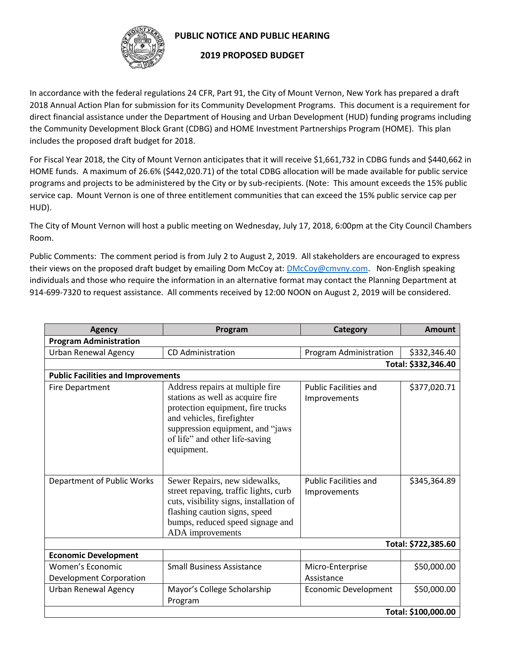

## **PUBLIC NOTICE AND PUBLIC HEARING**

## **2019 PROPOSED BUDGET**

In accordance with the federal regulations 24 CFR, Part 91, the City of Mount Vernon, New York has prepared a draft 2018 Annual Action Plan for submission for its Community Development Programs. This document is a requirement for direct financial assistance under the Department of Housing and Urban Development (HUD) funding programs including the Community Development Block Grant (CDBG) and HOME Investment Partnerships Program (HOME). This plan includes the proposed draft budget for 2018.

For Fiscal Year 2018, the City of Mount Vernon anticipates that it will receive \$1,661,732 in CDBG funds and \$440,662 in HOME funds. A maximum of 26.6% (\$442,020.71) of the total CDBG allocation will be made available for public service programs and projects to be administered by the City or by sub-recipients. (Note: This amount exceeds the 15% public service cap. Mount Vernon is one of three entitlement communities that can exceed the 15% public service cap per HUD).

The City of Mount Vernon will host a public meeting on Wednesday, July 17, 2018, 6:00pm at the City Council Chambers Room.

Public Comments: The comment period is from July 2 to August 2, 2019. All stakeholders are encouraged to express their views on the proposed draft budget by emailing Dom McCoy at[: DMcCoy@cmvny.com.](mailto:DMcCoy@cmvny.com) Non-English speaking individuals and those who require the information in an alternative format may contact the Planning Department at 914-699-7320 to request assistance. All comments received by 12:00 NOON on August 2, 2019 will be considered.

| <b>Agency</b>                               | Program                                                                                                                                                                                                                    | Category                                     | <b>Amount</b>       |  |  |
|---------------------------------------------|----------------------------------------------------------------------------------------------------------------------------------------------------------------------------------------------------------------------------|----------------------------------------------|---------------------|--|--|
| <b>Program Administration</b>               |                                                                                                                                                                                                                            |                                              |                     |  |  |
| <b>Urban Renewal Agency</b>                 | <b>CD Administration</b>                                                                                                                                                                                                   | Program Administration                       | \$332,346.40        |  |  |
|                                             |                                                                                                                                                                                                                            |                                              | Total: \$332,346.40 |  |  |
| <b>Public Facilities and Improvements</b>   |                                                                                                                                                                                                                            |                                              |                     |  |  |
| <b>Fire Department</b>                      | Address repairs at multiple fire<br>stations as well as acquire fire<br>protection equipment, fire trucks<br>and vehicles, firefighter<br>suppression equipment, and "jaws<br>of life" and other life-saving<br>equipment. | <b>Public Facilities and</b><br>Improvements | \$377,020.71        |  |  |
| Department of Public Works                  | Sewer Repairs, new sidewalks,<br>street repaving, traffic lights, curb<br>cuts, visibility signs, installation of<br>flashing caution signs, speed<br>bumps, reduced speed signage and<br>ADA improvements                 | <b>Public Facilities and</b><br>Improvements | \$345,364.89        |  |  |
|                                             | Total: \$722,385.60                                                                                                                                                                                                        |                                              |                     |  |  |
| <b>Economic Development</b>                 |                                                                                                                                                                                                                            |                                              |                     |  |  |
| Women's Economic<br>Development Corporation | <b>Small Business Assistance</b>                                                                                                                                                                                           | Micro-Enterprise<br>Assistance               | \$50,000.00         |  |  |
| <b>Urban Renewal Agency</b>                 | Mayor's College Scholarship<br>Program                                                                                                                                                                                     | <b>Economic Development</b>                  | \$50,000.00         |  |  |
| Total: \$100,000.00                         |                                                                                                                                                                                                                            |                                              |                     |  |  |